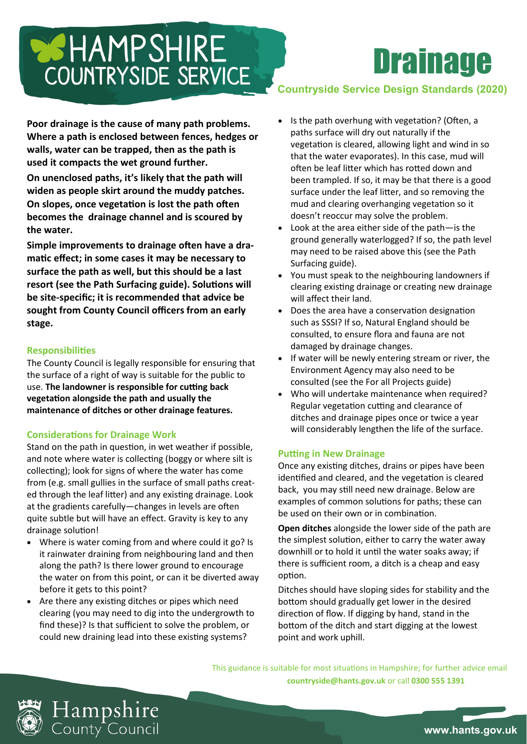# COUNTRYSIDE SERVICE

**Poor drainage is the cause of many path problems. Where a path is enclosed between fences, hedges or walls, water can be trapped, then as the path is used it compacts the wet ground further.**

**On unenclosed paths, it's likely that the path will widen as people skirt around the muddy patches. On slopes, once vegetation is lost the path often becomes the drainage channel and is scoured by the water.**

**Simple improvements to drainage often have a dramatic effect; in some cases it may be necessary to surface the path as well, but this should be a last resort (see the Path Surfacing guide). Solutions will be site-specific; it is recommended that advice be sought from County Council officers from an early stage.**

## **Responsibilities**

The County Council is legally responsible for ensuring that the surface of a right of way is suitable for the public to use. **The landowner is responsible for cutting back vegetation alongside the path and usually the maintenance of ditches or other drainage features.**

# **Considerations for Drainage Work**

Stand on the path in question, in wet weather if possible, and note where water is collecting (boggy or where silt is collecting); look for signs of where the water has come from (e.g. small gullies in the surface of small paths created through the leaf litter) and any existing drainage. Look at the gradients carefully—changes in levels are often quite subtle but will have an effect. Gravity is key to any drainage solution!

- Where is water coming from and where could it go? Is it rainwater draining from neighbouring land and then along the path? Is there lower ground to encourage the water on from this point, or can it be diverted away before it gets to this point?
- Are there any existing ditches or pipes which need clearing (you may need to dig into the undergrowth to find these)? Is that sufficient to solve the problem, or could new draining lead into these existing systems?

# **Countryside Service Design Standards (2020)**

**Drainage** 

- Is the path overhung with vegetation? (Often, a paths surface will dry out naturally if the vegetation is cleared, allowing light and wind in so that the water evaporates). In this case, mud will often be leaf litter which has rotted down and been trampled. If so, it may be that there is a good surface under the leaf litter, and so removing the mud and clearing overhanging vegetation so it doesn't reoccur may solve the problem.
- Look at the area either side of the path-is the ground generally waterlogged? If so, the path level may need to be raised above this (see the Path Surfacing guide).
- You must speak to the neighbouring landowners if clearing existing drainage or creating new drainage will affect their land.
- Does the area have a conservation designation such as SSSI? If so, Natural England should be consulted, to ensure flora and fauna are not damaged by drainage changes.
- If water will be newly entering stream or river, the Environment Agency may also need to be consulted (see the For all Projects guide)
- Who will undertake maintenance when required? Regular vegetation cutting and clearance of ditches and drainage pipes once or twice a year will considerably lengthen the life of the surface.

# **Putting in New Drainage**

Once any existing ditches, drains or pipes have been identified and cleared, and the vegetation is cleared back, you may still need new drainage. Below are examples of common solutions for paths; these can be used on their own or in combination.

**Open ditches** alongside the lower side of the path are the simplest solution, either to carry the water away downhill or to hold it until the water soaks away; if there is sufficient room, a ditch is a cheap and easy option.

Ditches should have sloping sides for stability and the bottom should gradually get lower in the desired direction of flow. If digging by hand, stand in the bottom of the ditch and start digging at the lowest point and work uphill.

This guidance is suitable for most situations in Hampshire; for further advice email **countryside@hants.gov.uk** or call **0300 555 1391**